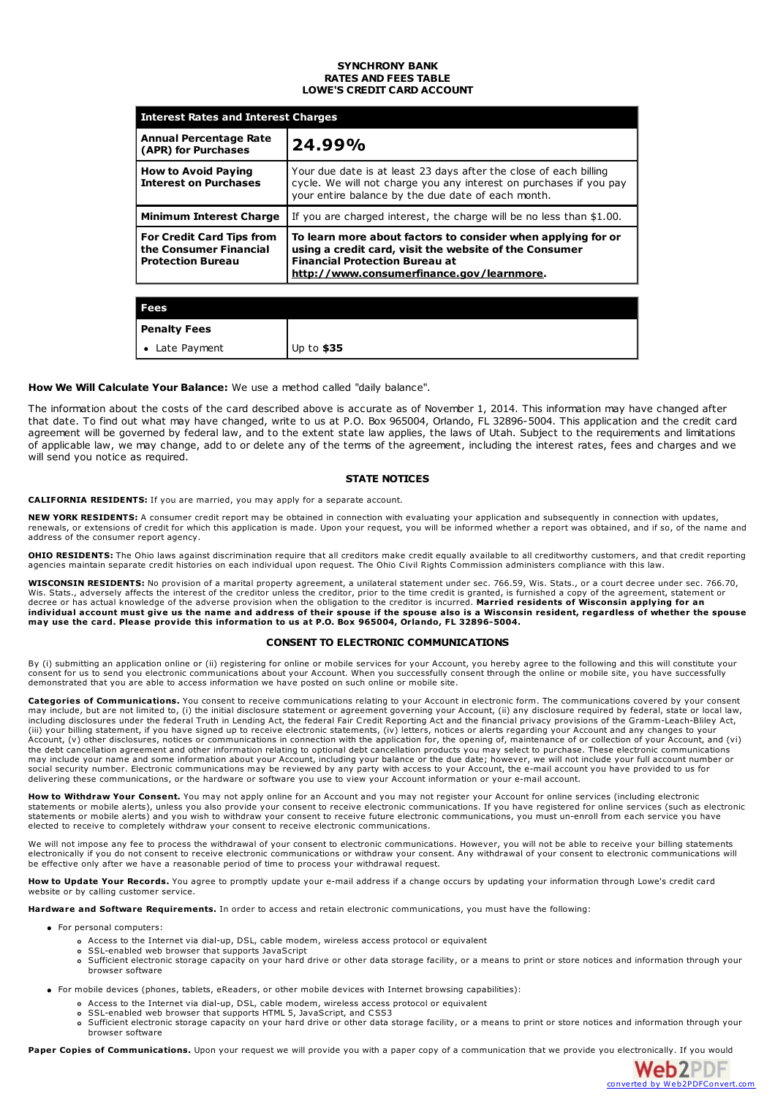## **SYNCHRONY BANK RATES AND FEES TABLE LOWE'S CREDIT CARD ACCOUNT**

| <b>Interest Rates and Interest Charges</b>                                             |                                                                                                                                                                                                              |  |
|----------------------------------------------------------------------------------------|--------------------------------------------------------------------------------------------------------------------------------------------------------------------------------------------------------------|--|
| <b>Annual Percentage Rate</b><br>(APR) for Purchases                                   | 24.99%                                                                                                                                                                                                       |  |
| <b>How to Avoid Paying</b><br><b>Interest on Purchases</b>                             | Your due date is at least 23 days after the close of each billing<br>cycle. We will not charge you any interest on purchases if you pay<br>your entire balance by the due date of each month.                |  |
| <b>Minimum Interest Charge</b>                                                         | If you are charged interest, the charge will be no less than \$1.00.                                                                                                                                         |  |
| <b>For Credit Card Tips from</b><br>the Consumer Financial<br><b>Protection Bureau</b> | To learn more about factors to consider when applying for or<br>using a credit card, visit the website of the Consumer<br><b>Financial Protection Bureau at</b><br>http://www.consumerfinance.gov/learnmore. |  |
|                                                                                        |                                                                                                                                                                                                              |  |
| Fees                                                                                   |                                                                                                                                                                                                              |  |

| rees                      |             |
|---------------------------|-------------|
| <b>Penalty Fees</b>       |             |
| Late Payment<br>$\bullet$ | Up to $$35$ |

# **How We Will Calculate Your Balance:** We use a method called "daily balance".

The information about the costs of the card described above is accurate as of November 1, 2014. This information may have changed after that date. To find out what may have changed, write to us at P.O. Box 965004, Orlando, FL 32896-5004. This application and the credit card agreement will be governed by federal law, and to the extent state law applies, the laws of Utah. Subject to the requirements and limitations of applicable law, we may change, add to or delete any of the terms of the agreement, including the interest rates, fees and charges and we will send you notice as required.

# **STATE NOTICES**

**CALIFORNIA RESIDENTS:** If you are married, you may apply for a separate account.

**NEW YORK RESIDENTS:** A consumer credit report may be obtained in connection with evaluating your application and subsequently in connection with updates, renewals, or extensions of credit for which this application is made. Upon your request, you will be informed whether a report was obtained, and if so, of the name and address of the consumer report agency.

**OHIO RESIDENTS:** The Ohio laws against discrimination require that all creditors make credit equally available to all creditworthy customers, and that credit reporting agencies maintain separate credit histories on each individual upon request. The Ohio Civil Rights Commission administers compliance with this law.

WISCONSIN RESIDENTS: No provision of a marital property agreement, a unilateral statement under sec. 766.59, Wis. Stats., or a court decree under sec. 766.70, Wis. Stats., adversely affects the interest of the creditor unless the creditor, prior to the time credit is granted, is furnished a copy of the agreement, statement or decree or has actual knowledge of the adverse provisi individual account must give us the name and address of their spouse if the spouse also is a Wisconsin resident, regardless of whether the spouse<br>may use the card. Please provide this information to us at P.O. Box 965004,

# **CONSENT TO ELECTRONIC COMMUNICATIONS**

By (i) submitting an application online or (ii) registering for online or mobile services for your Account, you hereby agree to the following and this will constitute your<br>consent for us to send you electronic communicatio

**Categories of Communications.** You consent to receive communications relating to your Account in electronic form. The communications covered by your consent<br>may include, but are not limited to, (i) the initial disclosure (iii) your billing statement, if you have signed up to receive electronic statements, (iv) letters, notices or alerts regarding your Account and any changes to your Account, (v) other disclosures, notices or communications in connection with the application for, the opening of, maintenance of or collection of your Account, and (vi) the debt cancellation agreement and other information may include your name and some information about your Account, including your balance or the due date; however, we will not include your full account number or social security number. Electronic communications may be reviewed by any party with access to your Account, the e-mail account you have provided to us for<br>delivering these communications, or the hardware or software you us

**How to Withdraw Your Consent.** You may not apply online for an Account and you may not register your Account for online services (including electronic statements or mobile alerts), unless you also provide your consent to receive electronic communications. If you have registered for online services (such as electronic statements or mobile alerts) and you wish to withdraw your consent to receive future electronic communications, you must un-enroll from each service you have elected to receive to completely withdraw your consent to receive electronic communications.

We will not impose any fee to process the withdrawal of your consent to electronic communications. However, you will not be able to receive your billing statements electronically if you do not consent to receive electronic communications or withdraw your consent. Any withdrawal of your consent to electronic communications will be effective only after we have a reasonable period of time to process your withdrawal request.

**How to Update Your Records.** You agree to promptly update your e-mail address if a change occurs by updating your information through Lowe's credit card website or by calling customer service.

**Hardware and Software Requirements.** In order to access and retain electronic communications, you must have the following:

- For personal computers:
	- Access to the Internet via dial-up, DSL, cable modem, wireless access protocol or equivalent
	- SSL-enabled web browser that supports JavaScript
	- Sufficient electronic storage capacity on your hard drive or other data storage facility, or a means to print or store notices and information through your browser software

For mobile devices (phones, tablets, eReaders, or other mobile devices with Internet browsing capabilities):

- Access to the Internet via dial-up, DSL, cable modem, wireless access protocol or equivalent
- SSL-enabled web browser that supports HTML 5, JavaScript, and CSS3
- Sufficient electronic storage capacity on your hard drive or other data storage facility, or a means to print or store notices and information through your  $\circ$ browser software

Paper Copies of Communications. Upon your request we will provide you with a paper copy of a communication that we provide you [electronically.](http://www.web2pdfconvert.com?ref=PDF) If you would

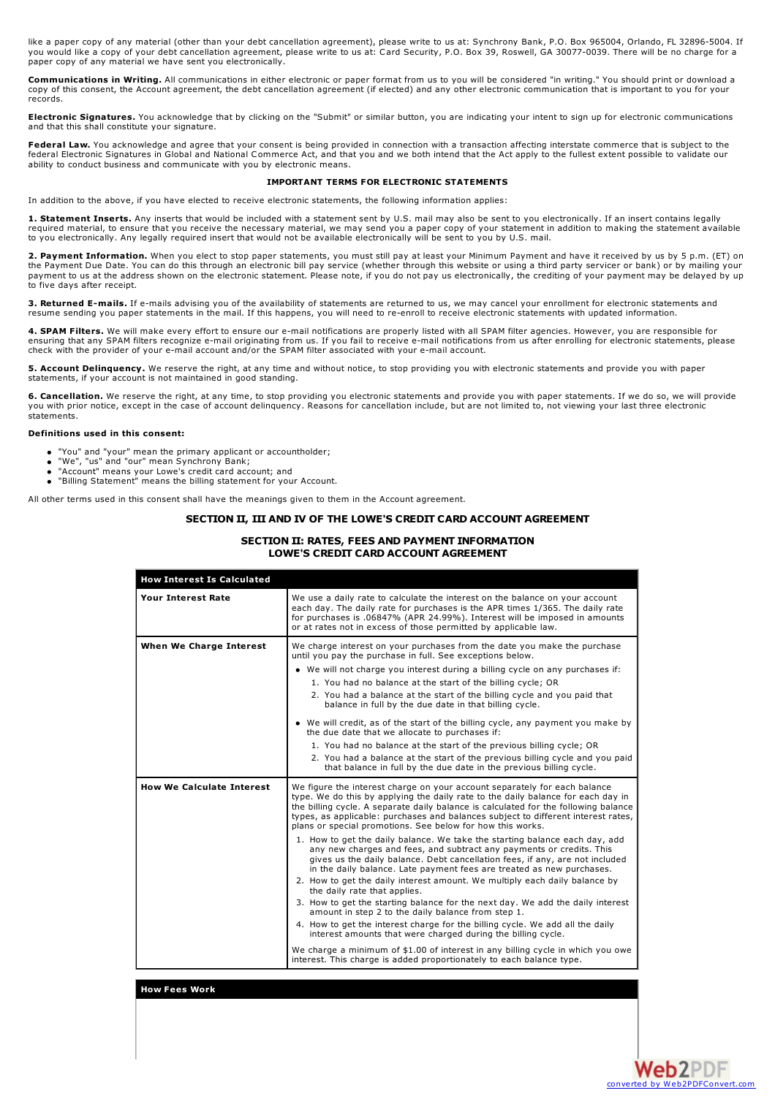like a paper copy of any material (other than your debt cancellation agreement), please write to us at: Synchrony Bank, P.O. Box 965004, Orlando, FL 32896-5004. If<br>you would like a copy of your debt cancellation agreement, paper copy of any material we have sent you electronically.

**Communications in Writing.** All communications in either electronic or paper format from us to you will be considered "in writing." You should print or download a copy of this consent, the Account agreement, the debt cancellation agreement (if elected) and any other electronic communication that is important to you for your records.

**Electronic Signatures.** You acknowledge that by clicking on the "Submit" or similar button, you are indicating your intent to sign up for electronic communications and that this shall constitute your signature.

**Federal Law.** You acknowledge and agree that your consent is being provided in connection with a transaction affecting interstate commerce that is subject to the federal Electronic Signatures in Global and National Commerce Act, and that you and we both intend that the Act apply to the fullest extent possible to validate our ability to conduct business and communicate with you by electronic means.

## **IMPORTANT TERMS FOR ELECTRONIC STATEMENTS**

In addition to the above, if you have elected to receive electronic statements, the following information applies:

**1. Statement Inserts.** Any inserts that would be included with a statement sent by U.S. mail may also be sent to you electronically. If an insert contains legally required material, to ensure that you receive the necessary material, we may send you a paper copy of your statement in addition to making the statement available<br>to you electronically. Any legally required insert that wou

**2. Payment Information.** When you elect to stop paper statements, you must still pay at least your Minimum Payment and have it received by us by 5 p.m. (ET) on the Payment Due Date. You can do this through an electronic bill pay service (whether through this website or using a third party servicer or bank) or by mailing your payment to us at the address shown on the electronic statement. Please note, if you do not pay us electronically, the crediting of your payment may be delayed by up to five days after receipt.

**3. Returned E-mails.** If e-mails advising you of the availability of statements are returned to us, we may cancel your enrollment for electronic statements and resume sending you paper statements in the mail. If this happens, you will need to re-enroll to receive electronic statements with updated information.

**4. SPAM Filters.** We will make every effort to ensure our e-mail notifications are properly listed with all SPAM filter agencies. However, you are responsible for<br>ensuring that any SPAM filters recognize e-mail originatin

**5. Account Delinquency.** We reserve the right, at any time and without notice, to stop providing you with electronic statements and provide you with paper statements, if your account is not maintained in good standing.

6. Cancellation. We reserve the right, at any time, to stop providing you electronic statements and provide you with paper statements. If we do so, we will provide<br>you with prior notice, except in the case of account delin statements.

#### **Definitions used in this consent:**

- "You" and "your" mean the primary applicant or accountholder;
- "We", "us" and "our" mean Synchrony Bank; "Account" means your Lowe's credit card account; and
- 
- "Billing Statement" means the billing statement for your Account.

All other terms used in this consent shall have the meanings given to them in the Account agreement.

# **SECTION II, III AND IV OF THE LOWE'S CREDIT CARD ACCOUNT AGREEMENT**

# **SECTION II: RATES, FEES AND PAYMENT INFORMATION LOWE'S CREDIT CARD ACCOUNT AGREEMENT**

| <b>How Interest Is Calculated</b> |                                                                                                                                                                                                                                                                                                                                                                                                                                                                                                                                                                                                                                                                                                                                                                                                                                                                                                                                                                                                                                                                                                                                                                                                                                                                                           |
|-----------------------------------|-------------------------------------------------------------------------------------------------------------------------------------------------------------------------------------------------------------------------------------------------------------------------------------------------------------------------------------------------------------------------------------------------------------------------------------------------------------------------------------------------------------------------------------------------------------------------------------------------------------------------------------------------------------------------------------------------------------------------------------------------------------------------------------------------------------------------------------------------------------------------------------------------------------------------------------------------------------------------------------------------------------------------------------------------------------------------------------------------------------------------------------------------------------------------------------------------------------------------------------------------------------------------------------------|
| <b>Your Interest Rate</b>         | We use a daily rate to calculate the interest on the balance on your account<br>each day. The daily rate for purchases is the APR times 1/365. The daily rate<br>for purchases is .06847% (APR 24.99%). Interest will be imposed in amounts<br>or at rates not in excess of those permitted by applicable law.                                                                                                                                                                                                                                                                                                                                                                                                                                                                                                                                                                                                                                                                                                                                                                                                                                                                                                                                                                            |
| When We Charge Interest           | We charge interest on your purchases from the date you make the purchase<br>until you pay the purchase in full. See exceptions below.<br>• We will not charge you interest during a billing cycle on any purchases if:<br>1. You had no balance at the start of the billing cycle; OR<br>2. You had a balance at the start of the billing cycle and you paid that<br>balance in full by the due date in that billing cycle.<br>• We will credit, as of the start of the billing cycle, any payment you make by<br>the due date that we allocate to purchases if:<br>1. You had no balance at the start of the previous billing cycle; OR<br>2. You had a balance at the start of the previous billing cycle and you paid<br>that balance in full by the due date in the previous billing cycle.                                                                                                                                                                                                                                                                                                                                                                                                                                                                                           |
| <b>How We Calculate Interest</b>  | We figure the interest charge on your account separately for each balance<br>type. We do this by applying the daily rate to the daily balance for each day in<br>the billing cycle. A separate daily balance is calculated for the following balance<br>types, as applicable: purchases and balances subject to different interest rates,<br>plans or special promotions. See below for how this works.<br>1. How to get the daily balance. We take the starting balance each day, add<br>any new charges and fees, and subtract any payments or credits. This<br>gives us the daily balance. Debt cancellation fees, if any, are not included<br>in the daily balance. Late payment fees are treated as new purchases.<br>2. How to get the daily interest amount. We multiply each daily balance by<br>the daily rate that applies.<br>3. How to get the starting balance for the next day. We add the daily interest<br>amount in step 2 to the daily balance from step 1.<br>4. How to get the interest charge for the billing cycle. We add all the daily<br>interest amounts that were charged during the billing cycle.<br>We charge a minimum of \$1.00 of interest in any billing cycle in which you owe<br>interest. This charge is added proportionately to each balance type. |

# **How Fees Work**

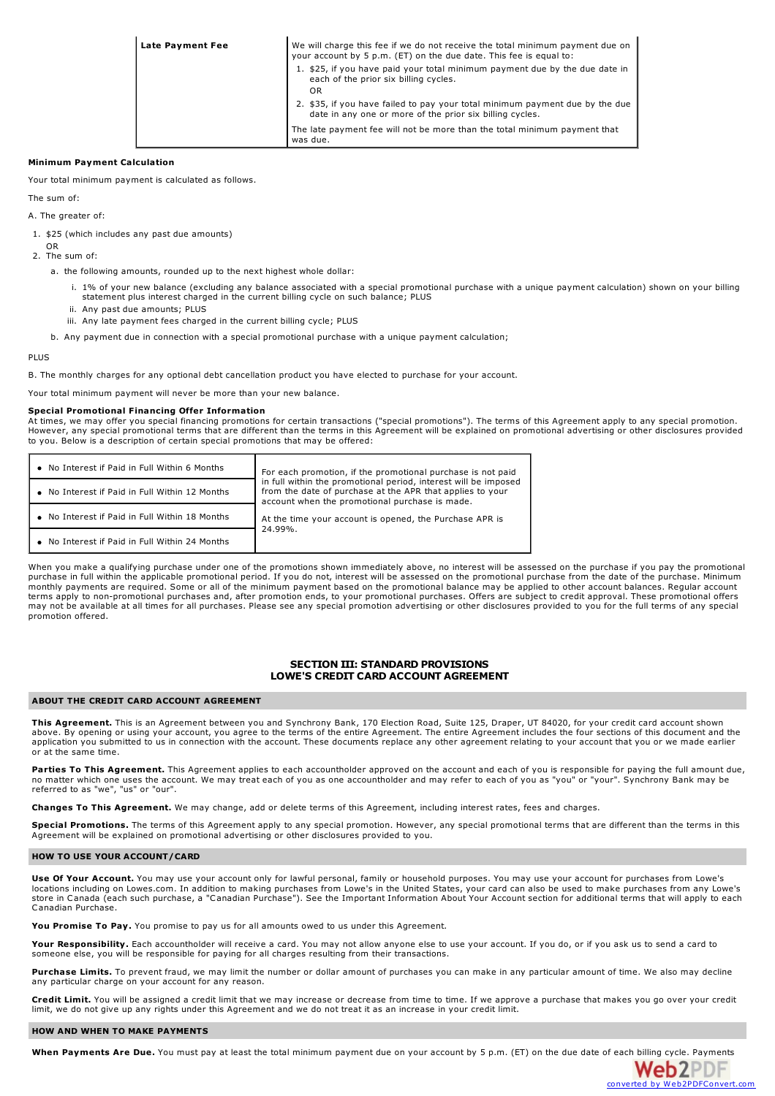| Late Payment Fee | We will charge this fee if we do not receive the total minimum payment due on<br>your account by 5 p.m. (ET) on the due date. This fee is equal to: |
|------------------|-----------------------------------------------------------------------------------------------------------------------------------------------------|
|                  | 1. \$25, if you have paid your total minimum payment due by the due date in<br>each of the prior six billing cycles.<br>OR                          |
|                  | 2. \$35, if you have failed to pay your total minimum payment due by the due<br>date in any one or more of the prior six billing cycles.            |
|                  | The late payment fee will not be more than the total minimum payment that<br>was due.                                                               |

## **Minimum Payment Calculation**

Your total minimum payment is calculated as follows.

The sum of:

A. The greater of:

- 1. \$25 (which includes any past due amounts)
- OR 2. The sum of:
	- a. the following amounts, rounded up to the next highest whole dollar:
		- i. 1% of your new balance (excluding any balance associated with a special promotional purchase with a unique payment calculation) shown on your billing statement plus interest charged in the current billing cycle on such balance; PLUS
		- ii. Any past due amounts; PLUS
		- iii. Any late payment fees charged in the current billing cycle; PLUS
	- b. Any payment due in connection with a special promotional purchase with a unique payment calculation;

#### PLUS

B. The monthly charges for any optional debt cancellation product you have elected to purchase for your account.

Your total minimum payment will never be more than your new balance.

#### **Special Promotional Financing Offer Information**

At times, we may offer you special financing promotions for certain transactions ("special promotions"). The terms of this Agreement apply to any special promotion. However, any special promotional terms that are different than the terms in this Agreement will be explained on promotional advertising or other disclosures provided to you. Below is a description of certain special promotions that may be offered:

| • No Interest if Paid in Full Within 6 Months  | For each promotion, if the promotional purchase is not paid<br>in full within the promotional period, interest will be imposed<br>from the date of purchase at the APR that applies to your<br>account when the promotional purchase is made. |  |
|------------------------------------------------|-----------------------------------------------------------------------------------------------------------------------------------------------------------------------------------------------------------------------------------------------|--|
| • No Interest if Paid in Full Within 12 Months |                                                                                                                                                                                                                                               |  |
| • No Interest if Paid in Full Within 18 Months | At the time your account is opened, the Purchase APR is<br>24.99%.                                                                                                                                                                            |  |
| • No Interest if Paid in Full Within 24 Months |                                                                                                                                                                                                                                               |  |

When you make a qualifying purchase under one of the promotions shown immediately above, no interest will be assessed on the purchase if you pay the promotional purchase in full within the applicable promotional period. If you do not, interest will be assessed on the promotional purchase from the date of the purchase. Minimum monthly payments are required. Some or all of the minimum payment based on the promotional balance may be applied to other account balances. Regular account controller account balances. Regular account for a count for the may not be available at all times for all purchases. Please see any special promotion advertising or other disclosures provided to you for the full terms of any special may not be available at all times for all purchases. promotion offered.

# **SECTION III: STANDARD PROVISIONS LOWE'S CREDIT CARD ACCOUNT AGREEMENT**

#### **ABOUT THE CREDIT CARD ACCOUNT AGREEMENT**

**This Agreement.** This is an Agreement between you and Synchrony Bank, 170 Election Road, Suite 125, Draper, UT 84020, for your credit card account shown above. By opening or using your account, you agree to the terms of the entire Agreement. The entire Agreement includes the four sections of this document and the application you submitted to us in connection with the account. These documents replace any other agreement relating to your account that you or we made earlier or at the same time.

Parties To This Agreement. This Agreement applies to each accountholder approved on the account and each of you is responsible for paying the full amount due, no matter which one uses the account. We may treat each of you as one accountholder and may refer to each of you as "you" or "your". Synchrony Bank may be referred to as "we", "us" or "our".

**Changes To This Agreement.** We may change, add or delete terms of this Agreement, including interest rates, fees and charges.

**Special Promotions.** The terms of this Agreement apply to any special promotion. However, any special promotional terms that are different than the terms in this Agreement will be explained on promotional advertising or other disclosures provided to you.

#### **HOW TO USE YOUR ACCOUNT/CARD**

**Use Of Your Account.** You may use your account only for lawful personal, family or household purposes. You may use your account for purchases from Lowe's locations including on Lowes.com. In addition to making purchases from Lowe's in the United States, your card can also be used to make purchases from any Lowe's store in Canada (each such purchase, a "Canadian Purchase"). See the Important Information About Your Account section for additional terms that will apply to each Canadian Purchase.

**You Promise To Pay.** You promise to pay us for all amounts owed to us under this Agreement.

**Your Responsibility.** Each accountholder will receive a card. You may not allow anyone else to use your account. If you do, or if you ask us to send a card to someone else, you will be responsible for paying for all charges resulting from their transactions.

**Purchase Limits.** To prevent fraud, we may limit the number or dollar amount of purchases you can make in any particular amount of time. We also may decline any particular charge on your account for any reason.

**Credit Limit.** You will be assigned a credit limit that we may increase or decrease from time to time. If we approve a purchase that makes you go over your credit limit, we do not give up any rights under this Agreement and we do not treat it as an increase in your credit limit.

#### **HOW AND WHEN TO MAKE PAYMENTS**

**When Payments Are Due.** You must pay at least the total minimum payment due on your account by 5 p.m. (ET) on the due date of each billing cycle. [Payments](http://www.web2pdfconvert.com?ref=PDF)

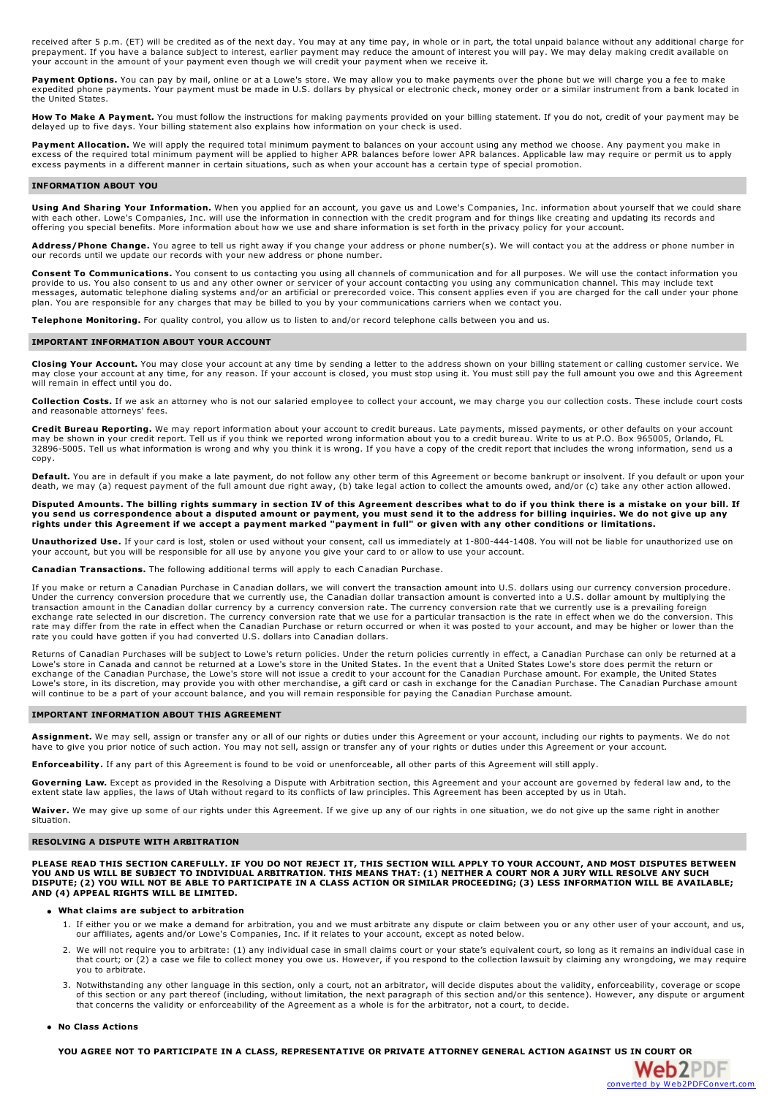received after 5 p.m. (ET) will be credited as of the next day. You may at any time pay, in whole or in part, the total unpaid balance without any additional charge for<br>prepayment. If you have a balance subject to interest your account in the amount of your payment even though we will credit your payment when we receive it.

Payment Options. You can pay by mail, online or at a Lowe's store. We may allow you to make payments over the phone but we will charge you a fee to make expedited phone payments. Your payment must be made in U.S. dollars by physical or electronic check, money order or a similar instrument from a bank located in the United States.

**How To Make A Payment.** You must follow the instructions for making payments provided on your billing statement. If you do not, credit of your payment may be delayed up to five days. Your billing statement also explains how information on your check is used.

**Payment Allocation.** We will apply the required total minimum payment to balances on your account using any method we choose. Any payment you make in excess of the required total minimum payment will be applied to higher APR balances before lower APR balances. Applicable law may require or permit us to apply<br>excess payments in a different manner in certain situations, s

## **INFORMATION ABOUT YOU**

**Using And Sharing Your Information.** When you applied for an account, you gave us and Lowe's Companies, Inc. information about yourself that we could share with each other. Lowe's Companies, Inc. will use the information in connection with the credit program and for things like creating and updating its records and<br>offering you special benefits. More information about how we

**Address/Phone Change.** You agree to tell us right away if you change your address or phone number(s). We will contact you at the address or phone number in our records until we update our records with your new address or phone number.

**Consent To Communications.** You consent to us contacting you using all channels of communication and for all purposes. We will use the contact information you provide to us. You also consent to us and any other owner or servicer of your account contacting you using any communication channel. This may include text<br>messages, automatic telephone dialing systems and/or an artificial plan. You are responsible for any charges that may be billed to you by your communications carriers when we contact you.

**Telephone Monitoring.** For quality control, you allow us to listen to and/or record telephone calls between you and us.

## **IMPORTANT INFORMATION ABOUT YOUR ACCOUNT**

**Closing Your Account.** You may close your account at any time by sending a letter to the address shown on your billing statement or calling customer service. We may close your account at any time, for any reason. If your account is closed, you must stop using it. You must still pay the full amount you owe and this Agreement will remain in effect until you do.

**Collection Costs.** If we ask an attorney who is not our salaried employee to collect your account, we may charge you our collection costs. These include court costs and reasonable attorneys' fees.

Credit Bureau Reporting. We may report information about your account to credit bureaus. Late payments, missed payments, or other defaults on your account may be shown in your credit report. Tell us if you think we reporte 32896-5005. Tell us what information is wrong and why you think it is wrong. If you have a copy of the credit report that includes the wrong information, send us a copy.

Default. You are in default if you make a late payment, do not follow any other term of this Agreement or become bankrupt or insolvent. If you default or upon your<br>death, we may (a) request payment of the full amount due r

Disputed Amounts. The billing rights summary in section IV of this Agreement describes what to do if you think there is a mistake on your bill. If you send us correspondence about a disputed amount or payment, you must send it to the address for billing inquiries. We do not give up any<br>rights under this Agreement if we accept a payment marked "payment in full" or giv

**Unauthorized Use.** If your card is lost, stolen or used without your consent, call us immediately at 1-800-444-1408. You will not be liable for unauthorized use on your account, but you will be responsible for all use by anyone you give your card to or allow to use your account.

**Canadian Transactions.** The following additional terms will apply to each Canadian Purchase.

If you make or return a Canadian Purchase in Canadian dollars, we will convert the transaction amount into U.S. dollars using our currency conversion procedure.<br>Under the currency conversion procedure that we currently use transaction amount in the Canadian dollar currency by a currency conversion rate. The currency conversion rate that we currently use is a prevailing foreign exchange rate selected in our discretion. The currency conversion rate that we use for a particular transaction is the rate in effect when we do the conversion. This rate may differ from the rate in effect when the Canadian Purchase or return occurred or when it was posted to your account, and may be higher or lower than the rate you could have gotten if you had converted U.S. dollars into Canadian dollars.

Returns of Canadian Purchases will be subject to Lowe's return policies. Under the return policies currently in effect, a Canadian Purchase can only be returned at a Lowe's store in Canada and cannot be returned at a Lowe's store in the United States. In the event that a United States Lowe's store does permit the return or exchange of the Canadian Purchase, the Lowe's store will not issue a credit to your account for the Canadian Purchase amount. For example, the United States<br>Lowe's store, in its discretion, may provide you with other merch will continue to be a part of your account balance, and you will remain responsible for paying the Canadian Purchase amount.

## **IMPORTANT INFORMATION ABOUT THIS AGREEMENT**

**Assignment.** We may sell, assign or transfer any or all of our rights or duties under this Agreement or your account, including our rights to payments. We do not have to give you prior notice of such action. You may not sell, assign or transfer any of your rights or duties under this Agreement or your account.

**Enforceability.** If any part of this Agreement is found to be void or unenforceable, all other parts of this Agreement will still apply

Governing Law. Except as provided in the Resolving a Dispute with Arbitration section, this Agreement and your account are governed by federal law and, to the extent state law applies, the laws of Utah without regard to its conflicts of law principles. This Agreement has been accepted by us in Utah.

**Waiver.** We may give up some of our rights under this Agreement. If we give up any of our rights in one situation, we do not give up the same right in another situation.

#### **RESOLVING A DISPUTE WITH ARBITRATION**

PLEASE READ THIS SECTION CAREFULLY. IF YOU DO NOT REJECT IT, THIS SECTION WILL APPLY TO YOUR ACCOUNT, AND MOST DISPUTES BETWEEN<br>YOU AND US WILL BE SUBJECT TO INDIVIDUAL ARBITRATION. THIS MEANS THAT: (1) NEITHER A COURT NOR DISPUTE; (2) YOU WILL NOT BE ABLE TO PARTICIPATE IN A CLASS ACTION OR SIMILAR PROCEEDING; (3) LESS INFORMATION WILL BE AVAILABLE; **AND (4) APPEAL RIGHTS WILL BE LIMITED.**

## **What claims are subject to arbitration**

- 1. If either you or we make a demand for arbitration, you and we must arbitrate any dispute or claim between you or any other user of your account, and us, our affiliates, agents and/or Lowe's Companies, Inc. if it relates to your account, except as noted below.
- 2. We will not require you to arbitrate: (1) any individual case in small claims court or your state's equivalent court, so long as it remains an individual case in that court; or (2) a case we file to collect money you owe us. However, if you respond to the collection lawsuit by claiming any wrongdoing, we may require you to arbitrate.
- 3. Notwithstanding any other language in this section, only a court, not an arbitrator, will decide disputes about the validity, enforceability, coverage or scope of this section or any part thereof (including, without limitation, the next paragraph of this section and/or this sentence). However, any dispute or argument<br>that concerns the validity or enforceability of the Agreement a

Web2PDP

## **No Class Actions**

YOU AGREE NOT TO PARTICIPATE IN A CLASS, REPRESENTATIVE OR PRIVATE ATTORNEY GENERAL ACTION AGAINST US IN [COURT](http://www.web2pdfconvert.com?ref=PDF) OR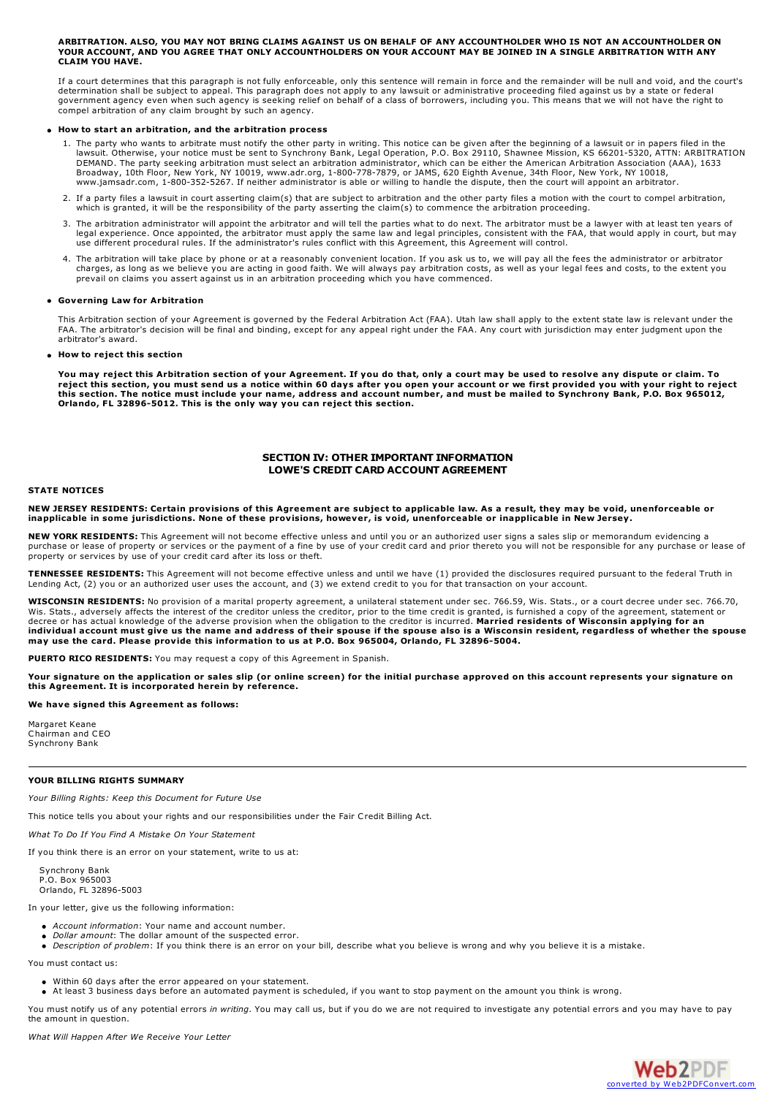#### ARRITRATION, ALSO, YOU MAY NOT BRING CLAIMS AGAINST US ON BEHALE OF ANY ACCOUNTHOLDER WHO IS NOT AN ACCOUNTHOLDER ON YOUR ACCOUNT, AND YOU AGREE THAT ONLY ACCOUNTHOLDERS ON YOUR ACCOUNT MAY BE JOINED IN A SINGLE ARBITRATION WITH ANY **CLAIM YOU HAVE.**

If a court determines that this paragraph is not fully enforceable, only this sentence will remain in force and the remainder will be null and void, and the court's determination shall be subject to appeal. This paragraph does not apply to any lawsuit or administrative proceeding filed against us by a state or federal government agency even when such agency is seeking relief on behalf of a class of borrowers, including you. This means that we will not have the right to compel arbitration of any claim brought by such an agency.

## **How to start an arbitration, and the arbitration process**

- 1. The party who wants to arbitrate must notify the other party in writing. This notice can be given after the beginning of a lawsuit or in papers filed in the lawsuit. Otherwise, your notice must be sent to Synchrony Bank, Legal Operation, P.O. Box 29110, Shawnee Mission, KS 66201-5320, ATTN: ARBITRATION DEMAND. The party seeking arbitration must select an arbitration administrator, which can be either the American Arbitration Association (AAA), 1633<br>Broadway, 10th Floor, New York, NY 10019, www.adr.org, 1-800-778-7879, or
- 2. If a party files a lawsuit in court asserting claim(s) that are subject to arbitration and the other party files a motion with the court to compel arbitration, which is granted, it will be the responsibility of the party asserting the claim(s) to commence the arbitration proceeding.
- 3. The arbitration administrator will appoint the arbitrator and will tell the parties what to do next. The arbitrator must be a lawyer with at least ten years of legal experience. Once appointed, the arbitrator must apply the same law and legal principles, consistent with the FAA, that would apply in court, but may use different procedural rules. If the administrator's rules conflict with this Agreement, this Agreement will control.
- 4. The arbitration will take place by phone or at a reasonably convenient location. If you ask us to, we will pay all the fees the administrator or arbitrator charges, as long as we believe you are acting in good faith. We will always pay arbitration costs, as well as your legal fees and costs, to the extent you<br>prevail on claims you assert against us in an arbitration proceedin

## **Governing Law for Arbitration**

This Arbitration section of your Agreement is governed by the Federal Arbitration Act (FAA). Utah law shall apply to the extent state law is relevant under the FAA. The arbitrator's decision will be final and binding, except for any appeal right under the FAA. Any court with jurisdiction may enter judgment upon the arbitrator's award.

#### **How to reject this section**

You may reject this Arbitration section of your Agreement. If you do that, only a court may be used to resolve any dispute or claim. To<br>reject this section, you must send us a notice within 60 days after you open your acco this section. The notice must include your name, address and account number, and must be mailed to Synchrony Bank, P.O. Box 965012, **Orlando, FL 32896-5012. This is the only way you can reject this section.**

# **SECTION IV: OTHER IMPORTANT INFORMATION LOWE'S CREDIT CARD ACCOUNT AGREEMENT**

## **STATE NOTICES**

NEW JERSEY RESIDENTS: Certain provisions of this Agreement are subject to applicable law. As a result, they may be void, unenforceable or inapplicable in some jurisdictions. None of these provisions, however, is void, unenforceable or inapplicable in New Jersey.

**NEW YORK RESIDENTS:** This Agreement will not become effective unless and until you or an authorized user signs a sales slip or memorandum evidencing a purchase or lease of property or services or the payment of a fine by use of your credit card and prior thereto you will not be responsible for any purchase or lease of property or services by use of your credit card after its loss or theft.

**TENNESSEE RESIDENTS:** This Agreement will not become effective unless and until we have (1) provided the disclosures required pursuant to the federal Truth in Lending Act, (2) you or an authorized user uses the account, and (3) we extend credit to you for that transaction on your account.

**WISCONSIN RESIDENTS:** No provision of a marital property agreement, a unilateral statement under sec. 766.59, Wis. Stats., or a court decree under sec. 766.70, Wis. Stats., adversely affects the interest of the creditor unless the creditor, prior to the time credit is granted, is furnished a copy of the agreement, statement or<br>decree or has actual knowledge of the adverse provisi individual account must give us the name and address of their spouse if the spouse also is a Wisconsin resident, regardless of whether the spouse may use the card. Please provide this information to us at P.O. Box 965004,

**PUERTO RICO RESIDENTS:** You may request a copy of this Agreement in Spanish.

Your signature on the application or sales slip (or online screen) for the initial purchase approved on this account represents your signature on **this Agreement. It is incorporated herein by reference.**

## **We have signed this Agreement as follows:**

Margaret Keane Chairman and CEO Synchrony Bank

## **YOUR BILLING RIGHTS SUMMARY**

*Your Billing Rights: Keep this Document for Future Use*

This notice tells you about your rights and our responsibilities under the Fair Credit Billing Act.

*What To Do If You Find A Mistake On Your Statement*

If you think there is an error on your statement, write to us at:

Synchrony Bank P.O. Box 965003 Orlando, FL 32896-5003

In your letter, give us the following information:

- *Account information*: Your name and account number.
- *Dollar amount*: The dollar amount of the suspected error.
- *Description of problem*: If you think there is an error on your bill, describe what you believe is wrong and why you believe it is a mistake.

You must contact us:

- Within 60 days after the error appeared on your statement.
- At least 3 business days before an automated payment is scheduled, if you want to stop payment on the amount you think is wrong.

You must notify us of any potential errors *in writing*. You may call us, but if you do we are not required to investigate any potential errors and you may have to pay the amount in question.

*What Will Happen After We Receive Your Letter*

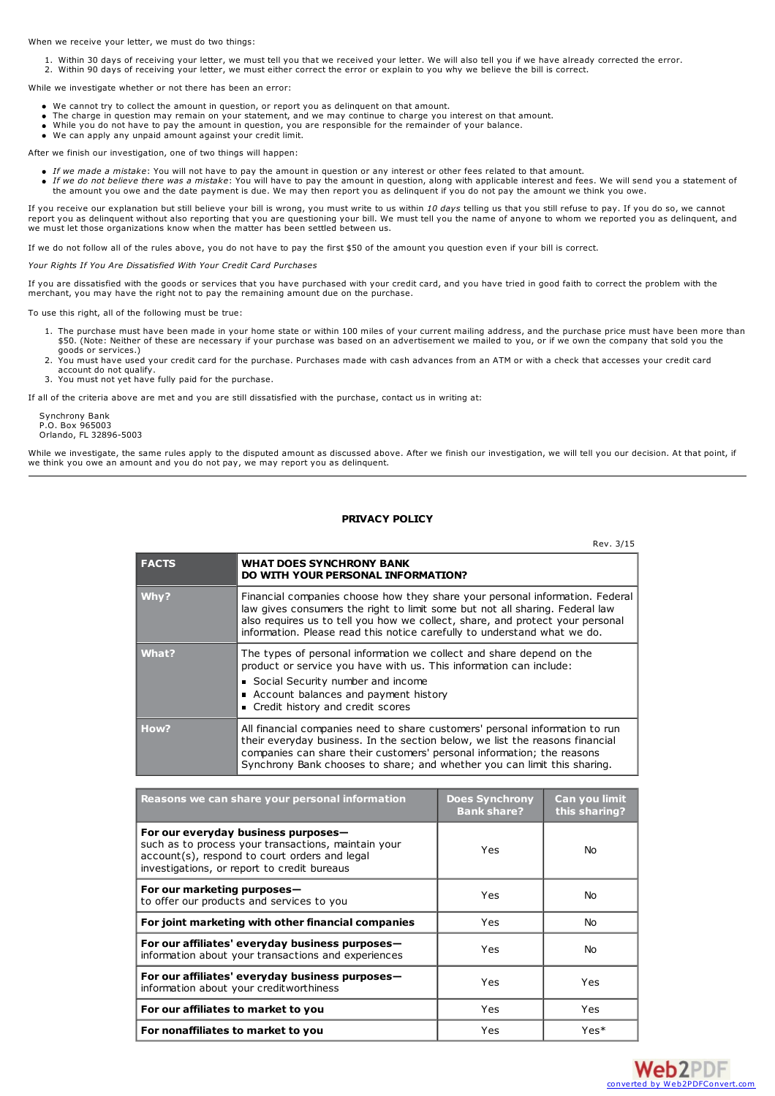When we receive your letter, we must do two things:

1. Within 30 days of receiving your letter, we must tell you that we received your letter. We will also tell you if we have already corrected the error.

2. Within 90 days of receiving your letter, we must either correct the error or explain to you why we believe the bill is correct.

While we investigate whether or not there has been an error:

- 
- We cannot try to collect the amount in question, or report you as delinquent on that amount.<br>● The charge in question may remain on your statement, and we may continue to charge you interest on that amount.
- While you do not have to pay the amount in question, you are responsible for the remainder of your balance.<br>We can apply any unpaid amount against your credit limit.

After we finish our investigation, one of two things will happen:

- 
- *If we made a mistake: You will not have to pay the amount in question or any interest or other fees related to that amount.<br><i>If we do not believe there was a mistake: You will have to pay the amount in question, along wit* the amount you owe and the date payment is due. We may then report you as delinquent if you do not pay the amount we think you owe.

If you receive our explanation but still believe your bill is wrong, you must write to us within *10 days* telling us that you still refuse to pay. If you do so, we cannot report you as delinquent without also reporting that you are questioning your bill. We must tell you the name of anyone to whom we reported you as delinquent, and we must let those organizations know when the matter has been settled between us.

If we do not follow all of the rules above, you do not have to pay the first \$50 of the amount you question even if your bill is correct.

*Your Rights If You Are Dissatisfied With Your Credit Card Purchases*

If you are dissatisfied with the goods or services that you have purchased with your credit card, and you have tried in good faith to correct the problem with the merchant, you may have the right not to pay the remaining a

To use this right, all of the following must be true:

- 1. The purchase must have been made in your home state or within 100 miles of your current mailing address, and the purchase price must have been more than \$50. (Note: Neither of these are necessary if your purchase was based on an advertisement we mailed to you, or if we own the company that sold you the goods or services.)
- 2. You must have used your credit card for the purchase. Purchases made with cash advances from an ATM or with a check that accesses your credit card account do not qualify.
- 3. You must not yet have fully paid for the purchase.

If all of the criteria above are met and you are still dissatisfied with the purchase, contact us in writing at:

Synchrony Bank P.O. Box 965003 Orlando, FL 32896-5003

While we investigate, the same rules apply to the disputed amount as discussed above. After we finish our investigation, we will tell you our decision. At that point, if we think you owe an amount and you do not pay, we may report you as delinquent.

# **PRIVACY POLICY**

|              | Rev. 3/15                                                                                                                                                                                                                                                                                                                 |
|--------------|---------------------------------------------------------------------------------------------------------------------------------------------------------------------------------------------------------------------------------------------------------------------------------------------------------------------------|
| <b>FACTS</b> | <b>WHAT DOES SYNCHRONY BANK</b><br>DO WITH YOUR PERSONAL INFORMATION?                                                                                                                                                                                                                                                     |
| Why?         | Financial companies choose how they share your personal information. Federal<br>law gives consumers the right to limit some but not all sharing. Federal law<br>also requires us to tell you how we collect, share, and protect your personal<br>information. Please read this notice carefully to understand what we do. |
| What?        | The types of personal information we collect and share depend on the<br>product or service you have with us. This information can include:<br>Social Security number and income<br>• Account balances and payment history<br>Credit history and credit scores                                                             |
| How?         | All financial companies need to share customers' personal information to run<br>their everyday business. In the section below, we list the reasons financial<br>companies can share their customers' personal information; the reasons<br>Synchrony Bank chooses to share; and whether you can limit this sharing.        |

| Reasons we can share your personal information                                                                                                                                             | <b>Does Synchrony</b><br><b>Bank share?</b> | Can you limit<br>this sharing? |
|--------------------------------------------------------------------------------------------------------------------------------------------------------------------------------------------|---------------------------------------------|--------------------------------|
| For our everyday business purposes-<br>such as to process your transactions, maintain your<br>account(s), respond to court orders and legal<br>investigations, or report to credit bureaus | Yes                                         | No.                            |
| For our marketing purposes-<br>to offer our products and services to you                                                                                                                   | Yes                                         | No.                            |
| For joint marketing with other financial companies                                                                                                                                         | Yes                                         | No.                            |
| For our affiliates' everyday business purposes-<br>information about your transactions and experiences                                                                                     | Yes                                         | No.                            |
| For our affiliates' everyday business purposes-<br>information about your creditworthiness                                                                                                 | Yes                                         | Yes                            |
| For our affiliates to market to you                                                                                                                                                        | Yes                                         | Yes                            |
| For nonaffiliates to market to you                                                                                                                                                         | Yes                                         | $Yes*$                         |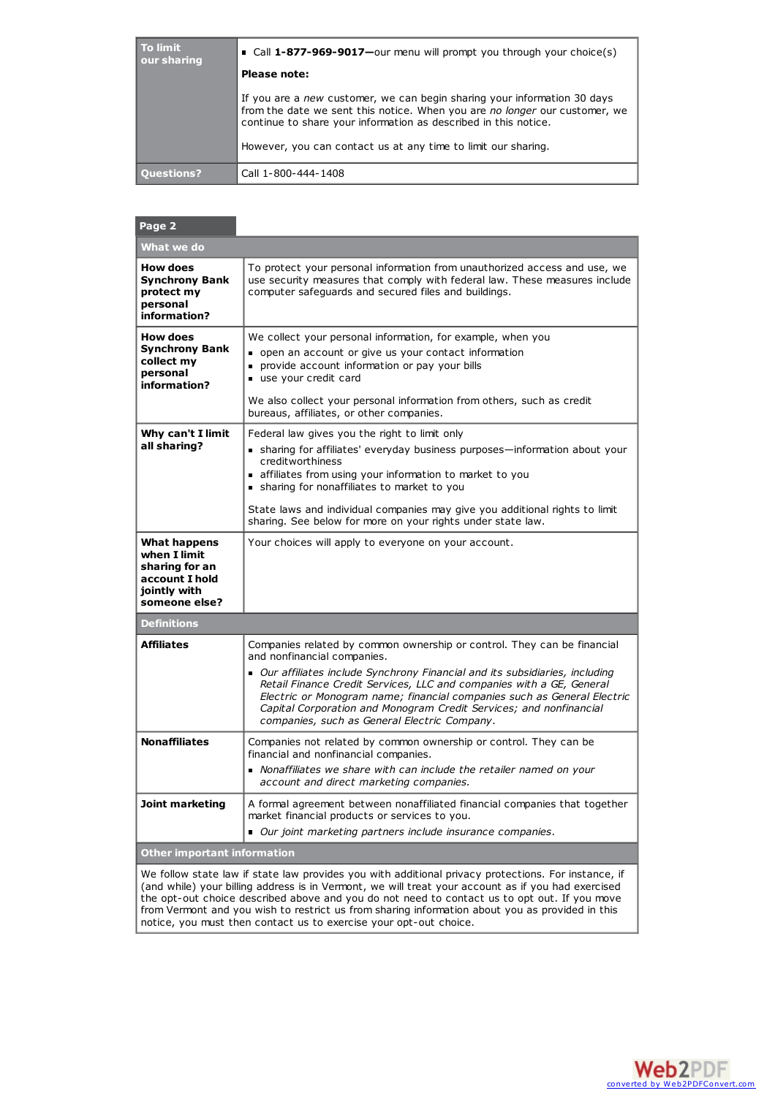| To limit<br>our sharing | • Call 1-877-969-9017-our menu will prompt you through your choice(s)                                                                                                                                                                                                                      |
|-------------------------|--------------------------------------------------------------------------------------------------------------------------------------------------------------------------------------------------------------------------------------------------------------------------------------------|
|                         | Please note:                                                                                                                                                                                                                                                                               |
|                         | If you are a new customer, we can begin sharing your information 30 days<br>from the date we sent this notice. When you are no longer our customer, we<br>continue to share your information as described in this notice.<br>However, you can contact us at any time to limit our sharing. |
|                         |                                                                                                                                                                                                                                                                                            |
| <b>Ouestions?</b>       | Call 1-800-444-1408                                                                                                                                                                                                                                                                        |

# **Page 2 What we do How does Synchrony Bank protect my personal information?** To protect your personal information from unauthorized access and use, we use security measures that comply with federal law. These measures include computer safeguards and secured files and buildings. **How does Synchrony Bank collect my personal information?** We collect your personal information, for example, when you open an account or give us your contact information **provide account information or pay your bills** use your credit card We also collect your personal information from others, such as credit bureaus, affiliates, or other companies. **Why can't I limit all sharing?** Federal law gives you the right to limit only sharing for affiliates' everyday business purposes—information about your creditworthiness affiliates from using your information to market to you sharing for nonaffiliates to market to you State laws and individual companies may give you additional rights to limit sharing. See below for more on your rights under state law. **What happens when I limit sharing for an account I hold jointly with someone else?** Your choices will apply to everyone on your account. **Definitions Affiliates** Companies related by common ownership or control. They can be financial and nonfinancial companies. *Our affiliates include Synchrony Financial and its subsidiaries, including Retail Finance Credit Services, LLC and companies with a GE, General Electric or Monogram name; financial companies such as General Electric Capital Corporation and Monogram Credit Services; and nonfinancial companies, such as General Electric Company*. **Nonaffiliates Companies not related by common ownership or control. They can be** financial and nonfinancial companies. *Nonaffiliates we share with can include the retailer named on your account and direct marketing companies.* **Joint marketing** A formal agreement between nonaffiliated financial companies that together market financial products or services to you. *Our joint marketing partners include insurance companies*. **Other important information**

We follow state law if state law provides you with additional privacy protections. For instance, if (and while) your billing address is in Vermont, we will treat your account as if you had exercised the opt-out choice described above and you do not need to contact us to opt out. If you move from Vermont and you wish to restrict us from sharing information about you as provided in this notice, you must then contact us to exercise your opt-out choice.